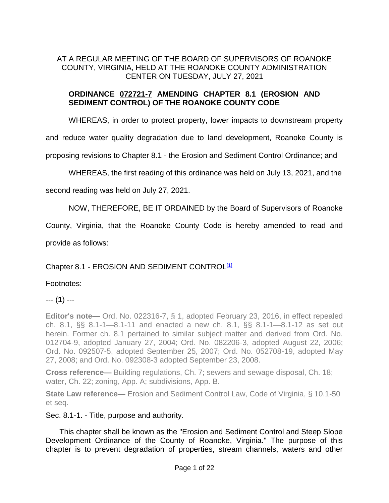# AT A REGULAR MEETING OF THE BOARD OF SUPERVISORS OF ROANOKE COUNTY, VIRGINIA, HELD AT THE ROANOKE COUNTY ADMINISTRATION CENTER ON TUESDAY, JULY 27, 2021

## **ORDINANCE 072721-7 AMENDING CHAPTER 8.1 (EROSION AND SEDIMENT CONTROL) OF THE ROANOKE COUNTY CODE**

WHEREAS, in order to protect property, lower impacts to downstream property

and reduce water quality degradation due to land development, Roanoke County is

proposing revisions to Chapter 8.1 - the Erosion and Sediment Control Ordinance; and

WHEREAS, the first reading of this ordinance was held on July 13, 2021, and the

second reading was held on July 27, 2021.

NOW, THEREFORE, BE IT ORDAINED by the Board of Supervisors of Roanoke

County, Virginia, that the Roanoke County Code is hereby amended to read and

provide as follows:

### Chapter 8.1 - EROSION AND SEDIMENT CONTROL<sup>[1]</sup>

### Footnotes:

### --- (**1**) ---

**Editor's note—** Ord. No. 022316-7, § 1, adopted February 23, 2016, in effect repealed ch. 8.1, §§ 8.1-1—8.1-11 and enacted a new ch. 8.1, §§ 8.1-1—8.1-12 as set out herein. Former ch. 8.1 pertained to similar subject matter and derived from Ord. No. 012704-9, adopted January 27, 2004; Ord. No. 082206-3, adopted August 22, 2006; Ord. No. 092507-5, adopted September 25, 2007; Ord. No. 052708-19, adopted May 27, 2008; and Ord. No. 092308-3 adopted September 23, 2008.

**Cross reference—** Building regulations, Ch. 7; sewers and sewage disposal, Ch. 18; water, Ch. 22; zoning, App. A; subdivisions, App. B.

**State Law reference—** Erosion and Sediment Control Law, Code of Virginia, § 10.1-50 et seq.

#### Sec. 8.1-1. - Title, purpose and authority.

This chapter shall be known as the "Erosion and Sediment Control and Steep Slope Development Ordinance of the County of Roanoke, Virginia." The purpose of this chapter is to prevent degradation of properties, stream channels, waters and other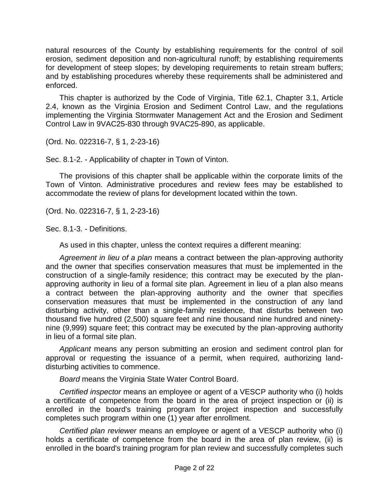natural resources of the County by establishing requirements for the control of soil erosion, sediment deposition and non-agricultural runoff; by establishing requirements for development of steep slopes; by developing requirements to retain stream buffers; and by establishing procedures whereby these requirements shall be administered and enforced.

This chapter is authorized by the Code of Virginia, Title 62.1, Chapter 3.1, Article 2.4, known as the Virginia Erosion and Sediment Control Law, and the regulations implementing the Virginia Stormwater Management Act and the Erosion and Sediment Control Law in 9VAC25-830 through 9VAC25-890, as applicable.

(Ord. No. 022316-7, § 1, 2-23-16)

Sec. 8.1-2. - Applicability of chapter in Town of Vinton.

The provisions of this chapter shall be applicable within the corporate limits of the Town of Vinton. Administrative procedures and review fees may be established to accommodate the review of plans for development located within the town.

(Ord. No. 022316-7, § 1, 2-23-16)

Sec. 8.1-3. - Definitions.

As used in this chapter, unless the context requires a different meaning:

*Agreement in lieu of a plan* means a contract between the plan-approving authority and the owner that specifies conservation measures that must be implemented in the construction of a single-family residence; this contract may be executed by the planapproving authority in lieu of a formal site plan. Agreement in lieu of a plan also means a contract between the plan-approving authority and the owner that specifies conservation measures that must be implemented in the construction of any land disturbing activity, other than a single-family residence, that disturbs between two thousand five hundred (2,500) square feet and nine thousand nine hundred and ninetynine (9,999) square feet; this contract may be executed by the plan-approving authority in lieu of a formal site plan.

*Applicant* means any person submitting an erosion and sediment control plan for approval or requesting the issuance of a permit, when required, authorizing landdisturbing activities to commence.

*Board* means the Virginia State Water Control Board.

*Certified inspector* means an employee or agent of a VESCP authority who (i) holds a certificate of competence from the board in the area of project inspection or (ii) is enrolled in the board's training program for project inspection and successfully completes such program within one (1) year after enrollment.

*Certified plan reviewer* means an employee or agent of a VESCP authority who (i) holds a certificate of competence from the board in the area of plan review, (ii) is enrolled in the board's training program for plan review and successfully completes such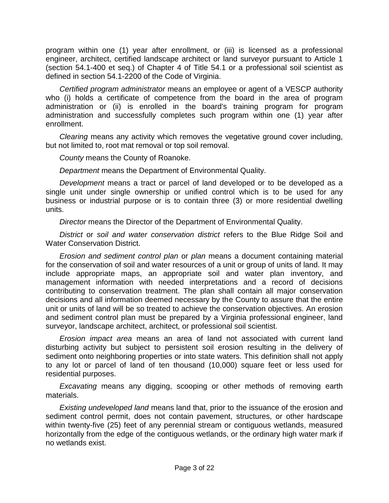program within one (1) year after enrollment, or (iii) is licensed as a professional engineer, architect, certified landscape architect or land surveyor pursuant to Article 1 (section 54.1-400 et seq.) of Chapter 4 of Title 54.1 or a professional soil scientist as defined in section 54.1-2200 of the Code of Virginia.

*Certified program administrator* means an employee or agent of a VESCP authority who (i) holds a certificate of competence from the board in the area of program administration or (ii) is enrolled in the board's training program for program administration and successfully completes such program within one (1) year after enrollment.

*Clearing* means any activity which removes the vegetative ground cover including, but not limited to, root mat removal or top soil removal.

*County* means the County of Roanoke.

*Department* means the Department of Environmental Quality.

*Development* means a tract or parcel of land developed or to be developed as a single unit under single ownership or unified control which is to be used for any business or industrial purpose or is to contain three (3) or more residential dwelling units.

*Director* means the Director of the Department of Environmental Quality.

*District* or *soil and water conservation district* refers to the Blue Ridge Soil and Water Conservation District.

*Erosion and sediment control plan* or *plan* means a document containing material for the conservation of soil and water resources of a unit or group of units of land. It may include appropriate maps, an appropriate soil and water plan inventory, and management information with needed interpretations and a record of decisions contributing to conservation treatment. The plan shall contain all major conservation decisions and all information deemed necessary by the County to assure that the entire unit or units of land will be so treated to achieve the conservation objectives. An erosion and sediment control plan must be prepared by a Virginia professional engineer, land surveyor, landscape architect, architect, or professional soil scientist.

*Erosion impact area* means an area of land not associated with current land disturbing activity but subject to persistent soil erosion resulting in the delivery of sediment onto neighboring properties or into state waters. This definition shall not apply to any lot or parcel of land of ten thousand (10,000) square feet or less used for residential purposes.

*Excavating* means any digging, scooping or other methods of removing earth materials.

*Existing undeveloped land* means land that, prior to the issuance of the erosion and sediment control permit, does not contain pavement, structures, or other hardscape within twenty-five (25) feet of any perennial stream or contiguous wetlands, measured horizontally from the edge of the contiguous wetlands, or the ordinary high water mark if no wetlands exist.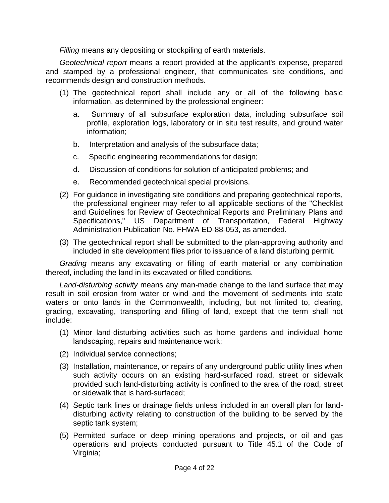*Filling* means any depositing or stockpiling of earth materials.

*Geotechnical report* means a report provided at the applicant's expense, prepared and stamped by a professional engineer, that communicates site conditions, and recommends design and construction methods.

- (1) The geotechnical report shall include any or all of the following basic information, as determined by the professional engineer:
	- a. Summary of all subsurface exploration data, including subsurface soil profile, exploration logs, laboratory or in situ test results, and ground water information;
	- b. Interpretation and analysis of the subsurface data;
	- c. Specific engineering recommendations for design;
	- d. Discussion of conditions for solution of anticipated problems; and
	- e. Recommended geotechnical special provisions.
- (2) For guidance in investigating site conditions and preparing geotechnical reports, the professional engineer may refer to all applicable sections of the "Checklist and Guidelines for Review of Geotechnical Reports and Preliminary Plans and Specifications," US Department of Transportation, Federal Highway Administration Publication No. FHWA ED-88-053, as amended.
- (3) The geotechnical report shall be submitted to the plan-approving authority and included in site development files prior to issuance of a land disturbing permit.

*Grading* means any excavating or filling of earth material or any combination thereof, including the land in its excavated or filled conditions.

*Land-disturbing activity* means any man-made change to the land surface that may result in soil erosion from water or wind and the movement of sediments into state waters or onto lands in the Commonwealth, including, but not limited to, clearing, grading, excavating, transporting and filling of land, except that the term shall not include:

- (1) Minor land-disturbing activities such as home gardens and individual home landscaping, repairs and maintenance work;
- (2) Individual service connections;
- (3) Installation, maintenance, or repairs of any underground public utility lines when such activity occurs on an existing hard-surfaced road, street or sidewalk provided such land-disturbing activity is confined to the area of the road, street or sidewalk that is hard-surfaced;
- (4) Septic tank lines or drainage fields unless included in an overall plan for landdisturbing activity relating to construction of the building to be served by the septic tank system;
- (5) Permitted surface or deep mining operations and projects, or oil and gas operations and projects conducted pursuant to Title 45.1 of the Code of Virginia;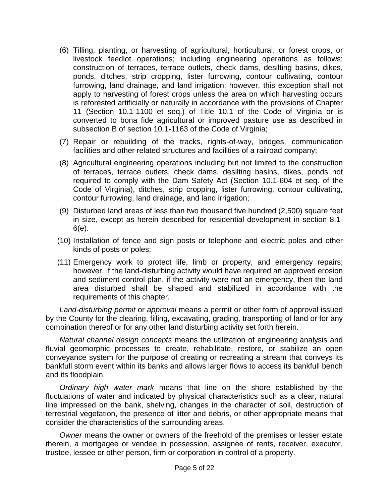- (6) Tilling, planting, or harvesting of agricultural, horticultural, or forest crops, or livestock feedlot operations; including engineering operations as follows: construction of terraces, terrace outlets, check dams, desilting basins, dikes, ponds, ditches, strip cropping, lister furrowing, contour cultivating, contour furrowing, land drainage, and land irrigation; however, this exception shall not apply to harvesting of forest crops unless the area on which harvesting occurs is reforested artificially or naturally in accordance with the provisions of Chapter 11 (Section 10.1-1100 et seq.) of Title 10.1 of the Code of Virginia or is converted to bona fide agricultural or improved pasture use as described in subsection B of section 10.1-1163 of the Code of Virginia;
- (7) Repair or rebuilding of the tracks, rights-of-way, bridges, communication facilities and other related structures and facilities of a railroad company;
- (8) Agricultural engineering operations including but not limited to the construction of terraces, terrace outlets, check dams, desilting basins, dikes, ponds not required to comply with the Dam Safety Act (Section 10.1-604 et seq. of the Code of Virginia), ditches, strip cropping, lister furrowing, contour cultivating, contour furrowing, land drainage, and land irrigation;
- (9) Disturbed land areas of less than two thousand five hundred (2,500) square feet in size, except as herein described for residential development in section 8.1- 6(e).
- (10) Installation of fence and sign posts or telephone and electric poles and other kinds of posts or poles;
- (11) Emergency work to protect life, limb or property, and emergency repairs; however, if the land-disturbing activity would have required an approved erosion and sediment control plan, if the activity were not an emergency, then the land area disturbed shall be shaped and stabilized in accordance with the requirements of this chapter.

*Land-disturbing permit* or *approval* means a permit or other form of approval issued by the County for the clearing, filling, excavating, grading, transporting of land or for any combination thereof or for any other land disturbing activity set forth herein.

*Natural channel design concepts* means the utilization of engineering analysis and fluvial geomorphic processes to create, rehabilitate, restore, or stabilize an open conveyance system for the purpose of creating or recreating a stream that conveys its bankfull storm event within its banks and allows larger flows to access its bankfull bench and its floodplain.

*Ordinary high water mark* means that line on the shore established by the fluctuations of water and indicated by physical characteristics such as a clear, natural line impressed on the bank, shelving, changes in the character of soil, destruction of terrestrial vegetation, the presence of litter and debris, or other appropriate means that consider the characteristics of the surrounding areas.

*Owner* means the owner or owners of the freehold of the premises or lesser estate therein, a mortgagee or vendee in possession, assignee of rents, receiver, executor, trustee, lessee or other person, firm or corporation in control of a property.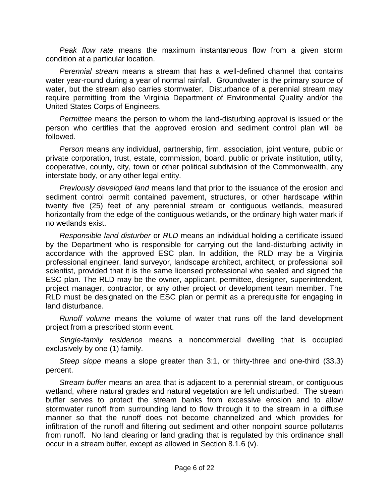*Peak flow rate* means the maximum instantaneous flow from a given storm condition at a particular location.

*Perennial stream* means a stream that has a well-defined channel that contains water year-round during a year of normal rainfall. Groundwater is the primary source of water, but the stream also carries stormwater. Disturbance of a perennial stream may require permitting from the Virginia Department of Environmental Quality and/or the United States Corps of Engineers.

*Permittee* means the person to whom the land-disturbing approval is issued or the person who certifies that the approved erosion and sediment control plan will be followed.

*Person* means any individual, partnership, firm, association, joint venture, public or private corporation, trust, estate, commission, board, public or private institution, utility, cooperative, county, city, town or other political subdivision of the Commonwealth, any interstate body, or any other legal entity.

*Previously developed land* means land that prior to the issuance of the erosion and sediment control permit contained pavement, structures, or other hardscape within twenty five (25) feet of any perennial stream or contiguous wetlands, measured horizontally from the edge of the contiguous wetlands, or the ordinary high water mark if no wetlands exist.

*Responsible land disturber* or *RLD* means an individual holding a certificate issued by the Department who is responsible for carrying out the land-disturbing activity in accordance with the approved ESC plan. In addition, the RLD may be a Virginia professional engineer, land surveyor, landscape architect, architect, or professional soil scientist, provided that it is the same licensed professional who sealed and signed the ESC plan. The RLD may be the owner, applicant, permittee, designer, superintendent, project manager, contractor, or any other project or development team member. The RLD must be designated on the ESC plan or permit as a prerequisite for engaging in land disturbance.

*Runoff volume* means the volume of water that runs off the land development project from a prescribed storm event.

*Single-family residence* means a noncommercial dwelling that is occupied exclusively by one (1) family.

*Steep slope* means a slope greater than 3:1, or thirty-three and one-third (33.3) percent.

*Stream buffer* means an area that is adjacent to a perennial stream, or contiguous wetland, where natural grades and natural vegetation are left undisturbed. The stream buffer serves to protect the stream banks from excessive erosion and to allow stormwater runoff from surrounding land to flow through it to the stream in a diffuse manner so that the runoff does not become channelized and which provides for infiltration of the runoff and filtering out sediment and other nonpoint source pollutants from runoff. No land clearing or land grading that is regulated by this ordinance shall occur in a stream buffer, except as allowed in Section 8.1.6 (v).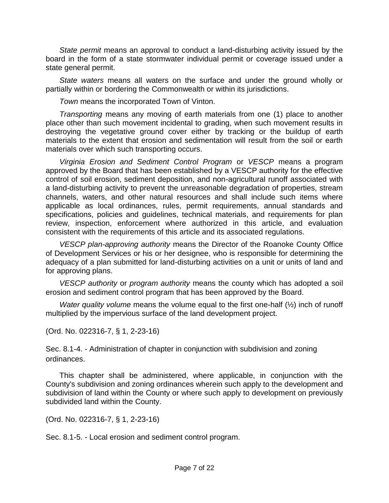*State permit* means an approval to conduct a land-disturbing activity issued by the board in the form of a state stormwater individual permit or coverage issued under a state general permit.

*State waters* means all waters on the surface and under the ground wholly or partially within or bordering the Commonwealth or within its jurisdictions.

*Town* means the incorporated Town of Vinton.

*Transporting* means any moving of earth materials from one (1) place to another place other than such movement incidental to grading, when such movement results in destroying the vegetative ground cover either by tracking or the buildup of earth materials to the extent that erosion and sedimentation will result from the soil or earth materials over which such transporting occurs.

*Virginia Erosion and Sediment Control Program* or *VESCP* means a program approved by the Board that has been established by a VESCP authority for the effective control of soil erosion, sediment deposition, and non-agricultural runoff associated with a land-disturbing activity to prevent the unreasonable degradation of properties, stream channels, waters, and other natural resources and shall include such items where applicable as local ordinances, rules, permit requirements, annual standards and specifications, policies and guidelines, technical materials, and requirements for plan review, inspection, enforcement where authorized in this article, and evaluation consistent with the requirements of this article and its associated regulations.

*VESCP plan-approving authority* means the Director of the Roanoke County Office of Development Services or his or her designee, who is responsible for determining the adequacy of a plan submitted for land-disturbing activities on a unit or units of land and for approving plans.

*VESCP authority* or *program authority* means the county which has adopted a soil erosion and sediment control program that has been approved by the Board.

*Water quality volume* means the volume equal to the first one-half (½) inch of runoff multiplied by the impervious surface of the land development project.

(Ord. No. 022316-7, § 1, 2-23-16)

Sec. 8.1-4. - Administration of chapter in conjunction with subdivision and zoning ordinances.

This chapter shall be administered, where applicable, in conjunction with the County's subdivision and zoning ordinances wherein such apply to the development and subdivision of land within the County or where such apply to development on previously subdivided land within the County.

(Ord. No. 022316-7, § 1, 2-23-16)

Sec. 8.1-5. - Local erosion and sediment control program.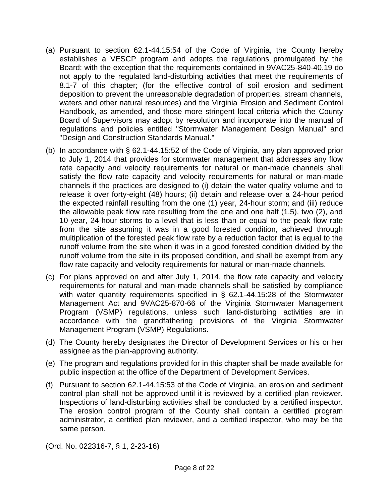- (a) Pursuant to section 62.1-44.15:54 of the Code of Virginia, the County hereby establishes a VESCP program and adopts the regulations promulgated by the Board; with the exception that the requirements contained in 9VAC25-840-40.19 do not apply to the regulated land-disturbing activities that meet the requirements of 8.1-7 of this chapter; (for the effective control of soil erosion and sediment deposition to prevent the unreasonable degradation of properties, stream channels, waters and other natural resources) and the Virginia Erosion and Sediment Control Handbook, as amended, and those more stringent local criteria which the County Board of Supervisors may adopt by resolution and incorporate into the manual of regulations and policies entitled "Stormwater Management Design Manual" and "Design and Construction Standards Manual."
- (b) In accordance with § 62.1-44.15:52 of the Code of Virginia, any plan approved prior to July 1, 2014 that provides for stormwater management that addresses any flow rate capacity and velocity requirements for natural or man-made channels shall satisfy the flow rate capacity and velocity requirements for natural or man-made channels if the practices are designed to (i) detain the water quality volume and to release it over forty-eight (48) hours; (ii) detain and release over a 24-hour period the expected rainfall resulting from the one (1) year, 24-hour storm; and (iii) reduce the allowable peak flow rate resulting from the one and one half (1.5), two (2), and 10-year, 24-hour storms to a level that is less than or equal to the peak flow rate from the site assuming it was in a good forested condition, achieved through multiplication of the forested peak flow rate by a reduction factor that is equal to the runoff volume from the site when it was in a good forested condition divided by the runoff volume from the site in its proposed condition, and shall be exempt from any flow rate capacity and velocity requirements for natural or man-made channels.
- (c) For plans approved on and after July 1, 2014, the flow rate capacity and velocity requirements for natural and man-made channels shall be satisfied by compliance with water quantity requirements specified in § 62.1-44.15:28 of the Stormwater Management Act and 9VAC25-870-66 of the Virginia Stormwater Management Program (VSMP) regulations, unless such land-disturbing activities are in accordance with the grandfathering provisions of the Virginia Stormwater Management Program (VSMP) Regulations.
- (d) The County hereby designates the Director of Development Services or his or her assignee as the plan-approving authority.
- (e) The program and regulations provided for in this chapter shall be made available for public inspection at the office of the Department of Development Services.
- (f) Pursuant to section 62.1-44.15:53 of the Code of Virginia, an erosion and sediment control plan shall not be approved until it is reviewed by a certified plan reviewer. Inspections of land-disturbing activities shall be conducted by a certified inspector. The erosion control program of the County shall contain a certified program administrator, a certified plan reviewer, and a certified inspector, who may be the same person.

(Ord. No. 022316-7, § 1, 2-23-16)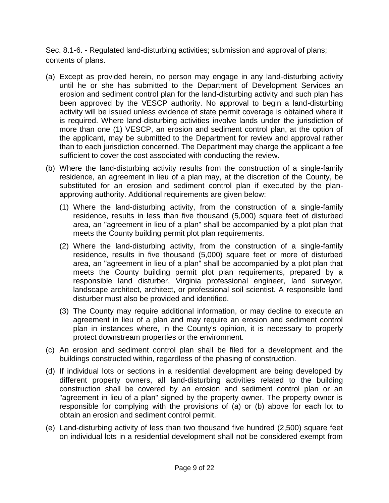Sec. 8.1-6. - Regulated land-disturbing activities; submission and approval of plans; contents of plans.

- (a) Except as provided herein, no person may engage in any land-disturbing activity until he or she has submitted to the Department of Development Services an erosion and sediment control plan for the land-disturbing activity and such plan has been approved by the VESCP authority. No approval to begin a land-disturbing activity will be issued unless evidence of state permit coverage is obtained where it is required. Where land-disturbing activities involve lands under the jurisdiction of more than one (1) VESCP, an erosion and sediment control plan, at the option of the applicant, may be submitted to the Department for review and approval rather than to each jurisdiction concerned. The Department may charge the applicant a fee sufficient to cover the cost associated with conducting the review.
- (b) Where the land-disturbing activity results from the construction of a single-family residence, an agreement in lieu of a plan may, at the discretion of the County, be substituted for an erosion and sediment control plan if executed by the planapproving authority. Additional requirements are given below:
	- (1) Where the land-disturbing activity, from the construction of a single-family residence, results in less than five thousand (5,000) square feet of disturbed area, an "agreement in lieu of a plan" shall be accompanied by a plot plan that meets the County building permit plot plan requirements.
	- (2) Where the land-disturbing activity, from the construction of a single-family residence, results in five thousand (5,000) square feet or more of disturbed area, an "agreement in lieu of a plan" shall be accompanied by a plot plan that meets the County building permit plot plan requirements, prepared by a responsible land disturber, Virginia professional engineer, land surveyor, landscape architect, architect, or professional soil scientist. A responsible land disturber must also be provided and identified.
	- (3) The County may require additional information, or may decline to execute an agreement in lieu of a plan and may require an erosion and sediment control plan in instances where, in the County's opinion, it is necessary to properly protect downstream properties or the environment.
- (c) An erosion and sediment control plan shall be filed for a development and the buildings constructed within, regardless of the phasing of construction.
- (d) If individual lots or sections in a residential development are being developed by different property owners, all land-disturbing activities related to the building construction shall be covered by an erosion and sediment control plan or an "agreement in lieu of a plan" signed by the property owner. The property owner is responsible for complying with the provisions of (a) or (b) above for each lot to obtain an erosion and sediment control permit.
- (e) Land-disturbing activity of less than two thousand five hundred (2,500) square feet on individual lots in a residential development shall not be considered exempt from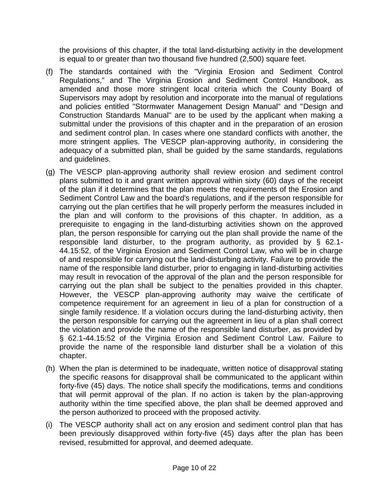the provisions of this chapter, if the total land-disturbing activity in the development is equal to or greater than two thousand five hundred (2,500) square feet.

- (f) The standards contained with the "Virginia Erosion and Sediment Control Regulations," and The Virginia Erosion and Sediment Control Handbook, as amended and those more stringent local criteria which the County Board of Supervisors may adopt by resolution and incorporate into the manual of regulations and policies entitled "Stormwater Management Design Manual" and "Design and Construction Standards Manual" are to be used by the applicant when making a submittal under the provisions of this chapter and in the preparation of an erosion and sediment control plan. In cases where one standard conflicts with another, the more stringent applies. The VESCP plan-approving authority, in considering the adequacy of a submitted plan, shall be guided by the same standards, regulations and guidelines.
- (g) The VESCP plan-approving authority shall review erosion and sediment control plans submitted to it and grant written approval within sixty (60) days of the receipt of the plan if it determines that the plan meets the requirements of the Erosion and Sediment Control Law and the board's regulations, and if the person responsible for carrying out the plan certifies that he will properly perform the measures included in the plan and will conform to the provisions of this chapter. In addition, as a prerequisite to engaging in the land-disturbing activities shown on the approved plan, the person responsible for carrying out the plan shall provide the name of the responsible land disturber, to the program authority, as provided by § 62.1- 44.15:52, of the Virginia Erosion and Sediment Control Law, who will be in charge of and responsible for carrying out the land-disturbing activity. Failure to provide the name of the responsible land disturber, prior to engaging in land-disturbing activities may result in revocation of the approval of the plan and the person responsible for carrying out the plan shall be subject to the penalties provided in this chapter. However, the VESCP plan-approving authority may waive the certificate of competence requirement for an agreement in lieu of a plan for construction of a single family residence. If a violation occurs during the land-disturbing activity, then the person responsible for carrying out the agreement in lieu of a plan shall correct the violation and provide the name of the responsible land disturber, as provided by § 62.1-44.15:52 of the Virginia Erosion and Sediment Control Law. Failure to provide the name of the responsible land disturber shall be a violation of this chapter.
- (h) When the plan is determined to be inadequate, written notice of disapproval stating the specific reasons for disapproval shall be communicated to the applicant within forty-five (45) days. The notice shall specify the modifications, terms and conditions that will permit approval of the plan. If no action is taken by the plan-approving authority within the time specified above, the plan shall be deemed approved and the person authorized to proceed with the proposed activity.
- (i) The VESCP authority shall act on any erosion and sediment control plan that has been previously disapproved within forty-five (45) days after the plan has been revised, resubmitted for approval, and deemed adequate.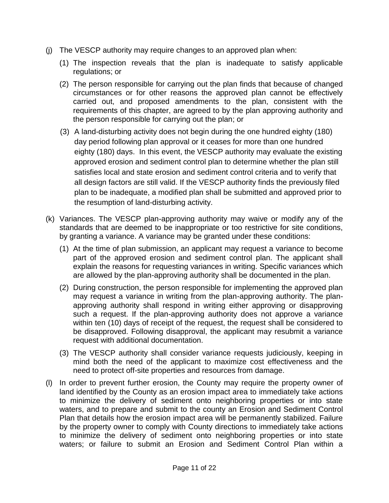- (j) The VESCP authority may require changes to an approved plan when:
	- (1) The inspection reveals that the plan is inadequate to satisfy applicable regulations; or
	- (2) The person responsible for carrying out the plan finds that because of changed circumstances or for other reasons the approved plan cannot be effectively carried out, and proposed amendments to the plan, consistent with the requirements of this chapter, are agreed to by the plan approving authority and the person responsible for carrying out the plan; or
	- (3) A land-disturbing activity does not begin during the one hundred eighty (180) day period following plan approval or it ceases for more than one hundred eighty (180) days. In this event, the VESCP authority may evaluate the existing approved erosion and sediment control plan to determine whether the plan still satisfies local and state erosion and sediment control criteria and to verify that all design factors are still valid. If the VESCP authority finds the previously filed plan to be inadequate, a modified plan shall be submitted and approved prior to the resumption of land-disturbing activity.
- (k) Variances. The VESCP plan-approving authority may waive or modify any of the standards that are deemed to be inappropriate or too restrictive for site conditions, by granting a variance. A variance may be granted under these conditions:
	- (1) At the time of plan submission, an applicant may request a variance to become part of the approved erosion and sediment control plan. The applicant shall explain the reasons for requesting variances in writing. Specific variances which are allowed by the plan-approving authority shall be documented in the plan.
	- (2) During construction, the person responsible for implementing the approved plan may request a variance in writing from the plan-approving authority. The planapproving authority shall respond in writing either approving or disapproving such a request. If the plan-approving authority does not approve a variance within ten (10) days of receipt of the request, the request shall be considered to be disapproved. Following disapproval, the applicant may resubmit a variance request with additional documentation.
	- (3) The VESCP authority shall consider variance requests judiciously, keeping in mind both the need of the applicant to maximize cost effectiveness and the need to protect off-site properties and resources from damage.
- (l) In order to prevent further erosion, the County may require the property owner of land identified by the County as an erosion impact area to immediately take actions to minimize the delivery of sediment onto neighboring properties or into state waters, and to prepare and submit to the county an Erosion and Sediment Control Plan that details how the erosion impact area will be permanently stabilized. Failure by the property owner to comply with County directions to immediately take actions to minimize the delivery of sediment onto neighboring properties or into state waters; or failure to submit an Erosion and Sediment Control Plan within a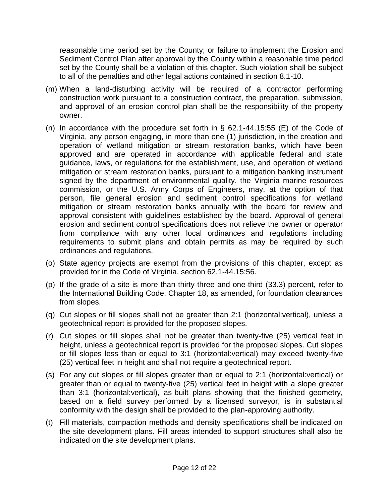reasonable time period set by the County; or failure to implement the Erosion and Sediment Control Plan after approval by the County within a reasonable time period set by the County shall be a violation of this chapter. Such violation shall be subject to all of the penalties and other legal actions contained in section 8.1-10.

- (m) When a land-disturbing activity will be required of a contractor performing construction work pursuant to a construction contract, the preparation, submission, and approval of an erosion control plan shall be the responsibility of the property owner.
- (n) In accordance with the procedure set forth in § 62.1-44.15:55 (E) of the Code of Virginia, any person engaging, in more than one (1) jurisdiction, in the creation and operation of wetland mitigation or stream restoration banks, which have been approved and are operated in accordance with applicable federal and state guidance, laws, or regulations for the establishment, use, and operation of wetland mitigation or stream restoration banks, pursuant to a mitigation banking instrument signed by the department of environmental quality, the Virginia marine resources commission, or the U.S. Army Corps of Engineers, may, at the option of that person, file general erosion and sediment control specifications for wetland mitigation or stream restoration banks annually with the board for review and approval consistent with guidelines established by the board. Approval of general erosion and sediment control specifications does not relieve the owner or operator from compliance with any other local ordinances and regulations including requirements to submit plans and obtain permits as may be required by such ordinances and regulations.
- (o) State agency projects are exempt from the provisions of this chapter, except as provided for in the Code of Virginia, section 62.1-44.15:56.
- (p) If the grade of a site is more than thirty-three and one-third (33.3) percent, refer to the International Building Code, Chapter 18, as amended, for foundation clearances from slopes.
- (q) Cut slopes or fill slopes shall not be greater than 2:1 (horizontal:vertical), unless a geotechnical report is provided for the proposed slopes.
- (r) Cut slopes or fill slopes shall not be greater than twenty-five (25) vertical feet in height, unless a geotechnical report is provided for the proposed slopes. Cut slopes or fill slopes less than or equal to 3:1 (horizontal:vertical) may exceed twenty-five (25) vertical feet in height and shall not require a geotechnical report.
- (s) For any cut slopes or fill slopes greater than or equal to 2:1 (horizontal:vertical) or greater than or equal to twenty-five (25) vertical feet in height with a slope greater than 3:1 (horizontal:vertical), as-built plans showing that the finished geometry, based on a field survey performed by a licensed surveyor, is in substantial conformity with the design shall be provided to the plan-approving authority.
- (t) Fill materials, compaction methods and density specifications shall be indicated on the site development plans. Fill areas intended to support structures shall also be indicated on the site development plans.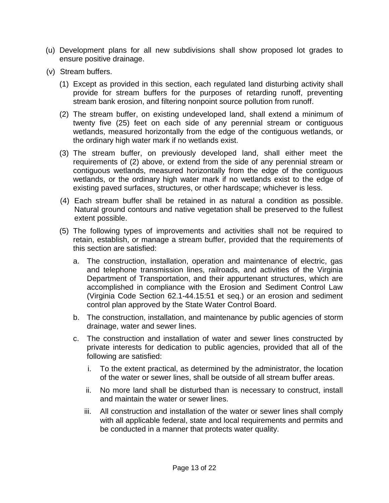- (u) Development plans for all new subdivisions shall show proposed lot grades to ensure positive drainage.
- (v) Stream buffers.
	- (1) Except as provided in this section, each regulated land disturbing activity shall provide for stream buffers for the purposes of retarding runoff, preventing stream bank erosion, and filtering nonpoint source pollution from runoff.
	- (2) The stream buffer, on existing undeveloped land, shall extend a minimum of twenty five (25) feet on each side of any perennial stream or contiguous wetlands, measured horizontally from the edge of the contiguous wetlands, or the ordinary high water mark if no wetlands exist.
	- (3) The stream buffer, on previously developed land, shall either meet the requirements of (2) above, or extend from the side of any perennial stream or contiguous wetlands, measured horizontally from the edge of the contiguous wetlands, or the ordinary high water mark if no wetlands exist to the edge of existing paved surfaces, structures, or other hardscape; whichever is less.
	- (4) Each stream buffer shall be retained in as natural a condition as possible. Natural ground contours and native vegetation shall be preserved to the fullest extent possible.
	- (5) The following types of improvements and activities shall not be required to retain, establish, or manage a stream buffer, provided that the requirements of this section are satisfied:
		- a. The construction, installation, operation and maintenance of electric, gas and telephone transmission lines, railroads, and activities of the Virginia Department of Transportation, and their appurtenant structures, which are accomplished in compliance with the Erosion and Sediment Control Law (Virginia Code Section 62.1-44.15:51 et seq.) or an erosion and sediment control plan approved by the State Water Control Board.
		- b. The construction, installation, and maintenance by public agencies of storm drainage, water and sewer lines.
		- c. The construction and installation of water and sewer lines constructed by private interests for dedication to public agencies, provided that all of the following are satisfied:
			- i. To the extent practical, as determined by the administrator, the location of the water or sewer lines, shall be outside of all stream buffer areas.
			- ii. No more land shall be disturbed than is necessary to construct, install and maintain the water or sewer lines.
			- iii. All construction and installation of the water or sewer lines shall comply with all applicable federal, state and local requirements and permits and be conducted in a manner that protects water quality.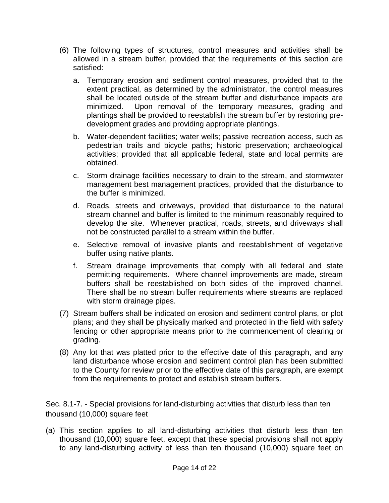- (6) The following types of structures, control measures and activities shall be allowed in a stream buffer, provided that the requirements of this section are satisfied:
	- a. Temporary erosion and sediment control measures, provided that to the extent practical, as determined by the administrator, the control measures shall be located outside of the stream buffer and disturbance impacts are minimized. Upon removal of the temporary measures, grading and plantings shall be provided to reestablish the stream buffer by restoring predevelopment grades and providing appropriate plantings.
	- b. Water-dependent facilities; water wells; passive recreation access, such as pedestrian trails and bicycle paths; historic preservation; archaeological activities; provided that all applicable federal, state and local permits are obtained.
	- c. Storm drainage facilities necessary to drain to the stream, and stormwater management best management practices, provided that the disturbance to the buffer is minimized.
	- d. Roads, streets and driveways, provided that disturbance to the natural stream channel and buffer is limited to the minimum reasonably required to develop the site. Whenever practical, roads, streets, and driveways shall not be constructed parallel to a stream within the buffer.
	- e. Selective removal of invasive plants and reestablishment of vegetative buffer using native plants.
	- f. Stream drainage improvements that comply with all federal and state permitting requirements. Where channel improvements are made, stream buffers shall be reestablished on both sides of the improved channel. There shall be no stream buffer requirements where streams are replaced with storm drainage pipes.
- (7) Stream buffers shall be indicated on erosion and sediment control plans, or plot plans; and they shall be physically marked and protected in the field with safety fencing or other appropriate means prior to the commencement of clearing or grading.
- (8) Any lot that was platted prior to the effective date of this paragraph, and any land disturbance whose erosion and sediment control plan has been submitted to the County for review prior to the effective date of this paragraph, are exempt from the requirements to protect and establish stream buffers.

Sec. 8.1-7. - Special provisions for land-disturbing activities that disturb less than ten thousand (10,000) square feet

(a) This section applies to all land-disturbing activities that disturb less than ten thousand (10,000) square feet, except that these special provisions shall not apply to any land-disturbing activity of less than ten thousand (10,000) square feet on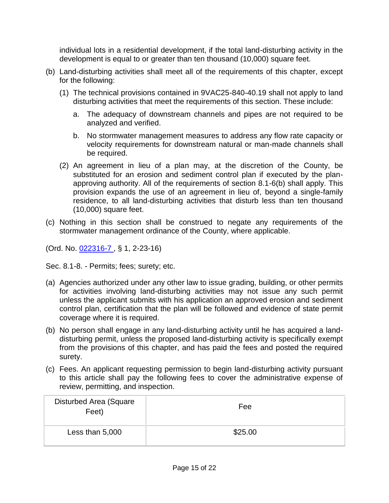individual lots in a residential development, if the total land-disturbing activity in the development is equal to or greater than ten thousand (10,000) square feet.

- (b) Land-disturbing activities shall meet all of the requirements of this chapter, except for the following:
	- (1) The technical provisions contained in 9VAC25-840-40.19 shall not apply to land disturbing activities that meet the requirements of this section. These include:
		- a. The adequacy of downstream channels and pipes are not required to be analyzed and verified.
		- b. No stormwater management measures to address any flow rate capacity or velocity requirements for downstream natural or man-made channels shall be required.
	- (2) An agreement in lieu of a plan may, at the discretion of the County, be substituted for an erosion and sediment control plan if executed by the planapproving authority. All of the requirements of section 8.1-6(b) shall apply. This provision expands the use of an agreement in lieu of, beyond a single-family residence, to all land-disturbing activities that disturb less than ten thousand (10,000) square feet.
- (c) Nothing in this section shall be construed to negate any requirements of the stormwater management ordinance of the County, where applicable.

(Ord. No. [022316-7 ,](http://newords.municode.com/readordinance.aspx?ordinanceid=775403&datasource=ordbank) § 1, 2-23-16)

Sec. 8.1-8. - Permits; fees; surety; etc.

- (a) Agencies authorized under any other law to issue grading, building, or other permits for activities involving land-disturbing activities may not issue any such permit unless the applicant submits with his application an approved erosion and sediment control plan, certification that the plan will be followed and evidence of state permit coverage where it is required.
- (b) No person shall engage in any land-disturbing activity until he has acquired a landdisturbing permit, unless the proposed land-disturbing activity is specifically exempt from the provisions of this chapter, and has paid the fees and posted the required surety.
- (c) Fees. An applicant requesting permission to begin land-disturbing activity pursuant to this article shall pay the following fees to cover the administrative expense of review, permitting, and inspection.

| Disturbed Area (Square<br>Feet) | Fee     |
|---------------------------------|---------|
| Less than 5,000                 | \$25.00 |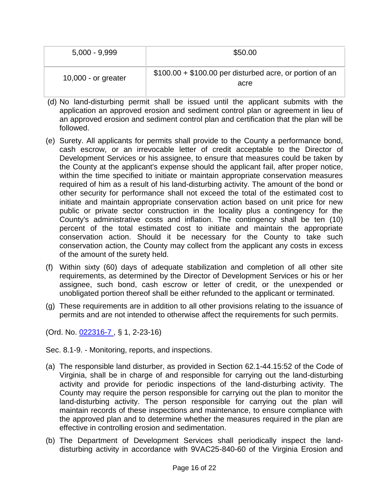| $5,000 - 9,999$       | \$50.00                                                          |
|-----------------------|------------------------------------------------------------------|
| $10,000$ - or greater | $$100.00 + $100.00$ per disturbed acre, or portion of an<br>acre |

- (d) No land-disturbing permit shall be issued until the applicant submits with the application an approved erosion and sediment control plan or agreement in lieu of an approved erosion and sediment control plan and certification that the plan will be followed.
- (e) Surety. All applicants for permits shall provide to the County a performance bond, cash escrow, or an irrevocable letter of credit acceptable to the Director of Development Services or his assignee, to ensure that measures could be taken by the County at the applicant's expense should the applicant fail, after proper notice, within the time specified to initiate or maintain appropriate conservation measures required of him as a result of his land-disturbing activity. The amount of the bond or other security for performance shall not exceed the total of the estimated cost to initiate and maintain appropriate conservation action based on unit price for new public or private sector construction in the locality plus a contingency for the County's administrative costs and inflation. The contingency shall be ten (10) percent of the total estimated cost to initiate and maintain the appropriate conservation action. Should it be necessary for the County to take such conservation action, the County may collect from the applicant any costs in excess of the amount of the surety held.
- (f) Within sixty (60) days of adequate stabilization and completion of all other site requirements, as determined by the Director of Development Services or his or her assignee, such bond, cash escrow or letter of credit, or the unexpended or unobligated portion thereof shall be either refunded to the applicant or terminated.
- (g) These requirements are in addition to all other provisions relating to the issuance of permits and are not intended to otherwise affect the requirements for such permits.

(Ord. No. [022316-7 ,](http://newords.municode.com/readordinance.aspx?ordinanceid=775403&datasource=ordbank) § 1, 2-23-16)

Sec. 8.1-9. - Monitoring, reports, and inspections.

- (a) The responsible land disturber, as provided in Section 62.1-44.15:52 of the Code of Virginia, shall be in charge of and responsible for carrying out the land-disturbing activity and provide for periodic inspections of the land-disturbing activity. The County may require the person responsible for carrying out the plan to monitor the land-disturbing activity. The person responsible for carrying out the plan will maintain records of these inspections and maintenance, to ensure compliance with the approved plan and to determine whether the measures required in the plan are effective in controlling erosion and sedimentation.
- (b) The Department of Development Services shall periodically inspect the landdisturbing activity in accordance with 9VAC25-840-60 of the Virginia Erosion and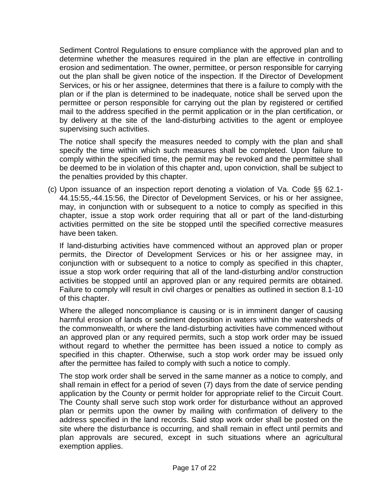Sediment Control Regulations to ensure compliance with the approved plan and to determine whether the measures required in the plan are effective in controlling erosion and sedimentation. The owner, permittee, or person responsible for carrying out the plan shall be given notice of the inspection. If the Director of Development Services, or his or her assignee, determines that there is a failure to comply with the plan or if the plan is determined to be inadequate, notice shall be served upon the permittee or person responsible for carrying out the plan by registered or certified mail to the address specified in the permit application or in the plan certification, or by delivery at the site of the land-disturbing activities to the agent or employee supervising such activities.

The notice shall specify the measures needed to comply with the plan and shall specify the time within which such measures shall be completed. Upon failure to comply within the specified time, the permit may be revoked and the permittee shall be deemed to be in violation of this chapter and, upon conviction, shall be subject to the penalties provided by this chapter.

(c) Upon issuance of an inspection report denoting a violation of Va. Code §§ 62.1- 44.15:55,-44.15:56, the Director of Development Services, or his or her assignee, may, in conjunction with or subsequent to a notice to comply as specified in this chapter, issue a stop work order requiring that all or part of the land-disturbing activities permitted on the site be stopped until the specified corrective measures have been taken.

If land-disturbing activities have commenced without an approved plan or proper permits, the Director of Development Services or his or her assignee may, in conjunction with or subsequent to a notice to comply as specified in this chapter, issue a stop work order requiring that all of the land-disturbing and/or construction activities be stopped until an approved plan or any required permits are obtained. Failure to comply will result in civil charges or penalties as outlined in section 8.1-10 of this chapter.

Where the alleged noncompliance is causing or is in imminent danger of causing harmful erosion of lands or sediment deposition in waters within the watersheds of the commonwealth, or where the land-disturbing activities have commenced without an approved plan or any required permits, such a stop work order may be issued without regard to whether the permittee has been issued a notice to comply as specified in this chapter. Otherwise, such a stop work order may be issued only after the permittee has failed to comply with such a notice to comply.

The stop work order shall be served in the same manner as a notice to comply, and shall remain in effect for a period of seven (7) days from the date of service pending application by the County or permit holder for appropriate relief to the Circuit Court. The County shall serve such stop work order for disturbance without an approved plan or permits upon the owner by mailing with confirmation of delivery to the address specified in the land records. Said stop work order shall be posted on the site where the disturbance is occurring, and shall remain in effect until permits and plan approvals are secured, except in such situations where an agricultural exemption applies.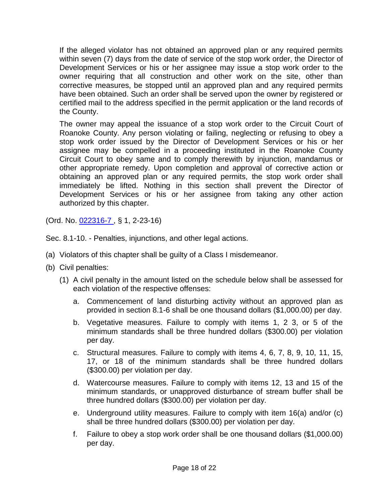If the alleged violator has not obtained an approved plan or any required permits within seven (7) days from the date of service of the stop work order, the Director of Development Services or his or her assignee may issue a stop work order to the owner requiring that all construction and other work on the site, other than corrective measures, be stopped until an approved plan and any required permits have been obtained. Such an order shall be served upon the owner by registered or certified mail to the address specified in the permit application or the land records of the County.

The owner may appeal the issuance of a stop work order to the Circuit Court of Roanoke County. Any person violating or failing, neglecting or refusing to obey a stop work order issued by the Director of Development Services or his or her assignee may be compelled in a proceeding instituted in the Roanoke County Circuit Court to obey same and to comply therewith by injunction, mandamus or other appropriate remedy. Upon completion and approval of corrective action or obtaining an approved plan or any required permits, the stop work order shall immediately be lifted. Nothing in this section shall prevent the Director of Development Services or his or her assignee from taking any other action authorized by this chapter.

(Ord. No. [022316-7 ,](http://newords.municode.com/readordinance.aspx?ordinanceid=775403&datasource=ordbank) § 1, 2-23-16)

Sec. 8.1-10. - Penalties, injunctions, and other legal actions.

- (a) Violators of this chapter shall be guilty of a Class I misdemeanor.
- (b) Civil penalties:
	- (1) A civil penalty in the amount listed on the schedule below shall be assessed for each violation of the respective offenses:
		- a. Commencement of land disturbing activity without an approved plan as provided in section 8.1-6 shall be one thousand dollars (\$1,000.00) per day.
		- b. Vegetative measures. Failure to comply with items 1, 2 3, or 5 of the minimum standards shall be three hundred dollars (\$300.00) per violation per day.
		- c. Structural measures. Failure to comply with items 4, 6, 7, 8, 9, 10, 11, 15, 17, or 18 of the minimum standards shall be three hundred dollars (\$300.00) per violation per day.
		- d. Watercourse measures. Failure to comply with items 12, 13 and 15 of the minimum standards, or unapproved disturbance of stream buffer shall be three hundred dollars (\$300.00) per violation per day.
		- e. Underground utility measures. Failure to comply with item 16(a) and/or (c) shall be three hundred dollars (\$300.00) per violation per day.
		- f. Failure to obey a stop work order shall be one thousand dollars (\$1,000.00) per day.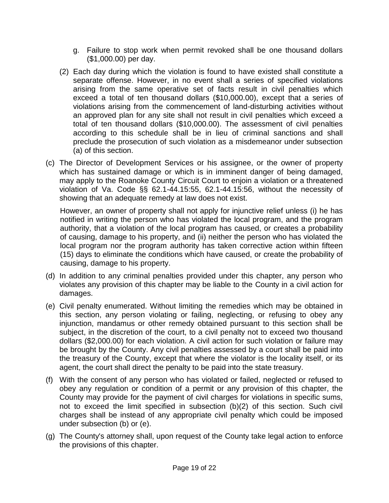- g. Failure to stop work when permit revoked shall be one thousand dollars (\$1,000.00) per day.
- (2) Each day during which the violation is found to have existed shall constitute a separate offense. However, in no event shall a series of specified violations arising from the same operative set of facts result in civil penalties which exceed a total of ten thousand dollars (\$10,000.00), except that a series of violations arising from the commencement of land-disturbing activities without an approved plan for any site shall not result in civil penalties which exceed a total of ten thousand dollars (\$10,000.00). The assessment of civil penalties according to this schedule shall be in lieu of criminal sanctions and shall preclude the prosecution of such violation as a misdemeanor under subsection (a) of this section.
- (c) The Director of Development Services or his assignee, or the owner of property which has sustained damage or which is in imminent danger of being damaged, may apply to the Roanoke County Circuit Court to enjoin a violation or a threatened violation of Va. Code §§ 62.1-44.15:55, 62.1-44.15:56, without the necessity of showing that an adequate remedy at law does not exist.

However, an owner of property shall not apply for injunctive relief unless (i) he has notified in writing the person who has violated the local program, and the program authority, that a violation of the local program has caused, or creates a probability of causing, damage to his property, and (ii) neither the person who has violated the local program nor the program authority has taken corrective action within fifteen (15) days to eliminate the conditions which have caused, or create the probability of causing, damage to his property.

- (d) In addition to any criminal penalties provided under this chapter, any person who violates any provision of this chapter may be liable to the County in a civil action for damages.
- (e) Civil penalty enumerated. Without limiting the remedies which may be obtained in this section, any person violating or failing, neglecting, or refusing to obey any injunction, mandamus or other remedy obtained pursuant to this section shall be subject, in the discretion of the court, to a civil penalty not to exceed two thousand dollars (\$2,000.00) for each violation. A civil action for such violation or failure may be brought by the County. Any civil penalties assessed by a court shall be paid into the treasury of the County, except that where the violator is the locality itself, or its agent, the court shall direct the penalty to be paid into the state treasury.
- (f) With the consent of any person who has violated or failed, neglected or refused to obey any regulation or condition of a permit or any provision of this chapter, the County may provide for the payment of civil charges for violations in specific sums, not to exceed the limit specified in subsection (b)(2) of this section. Such civil charges shall be instead of any appropriate civil penalty which could be imposed under subsection (b) or (e).
- (g) The County's attorney shall, upon request of the County take legal action to enforce the provisions of this chapter.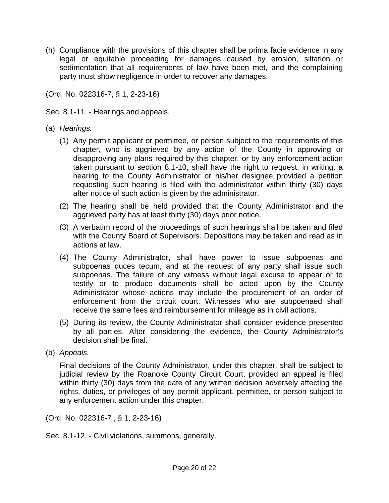(h) Compliance with the provisions of this chapter shall be prima facie evidence in any legal or equitable proceeding for damages caused by erosion, siltation or sedimentation that all requirements of law have been met, and the complaining party must show negligence in order to recover any damages.

(Ord. No. 022316-7, § 1, 2-23-16)

Sec. 8.1-11. - Hearings and appeals.

- (a) *Hearings.*
	- (1) Any permit applicant or permittee, or person subject to the requirements of this chapter, who is aggrieved by any action of the County in approving or disapproving any plans required by this chapter, or by any enforcement action taken pursuant to section 8.1-10, shall have the right to request, in writing, a hearing to the County Administrator or his/her designee provided a petition requesting such hearing is filed with the administrator within thirty (30) days after notice of such action is given by the administrator.
	- (2) The hearing shall be held provided that the County Administrator and the aggrieved party has at least thirty (30) days prior notice.
	- (3) A verbatim record of the proceedings of such hearings shall be taken and filed with the County Board of Supervisors. Depositions may be taken and read as in actions at law.
	- (4) The County Administrator, shall have power to issue subpoenas and subpoenas duces tecum, and at the request of any party shall issue such subpoenas. The failure of any witness without legal excuse to appear or to testify or to produce documents shall be acted upon by the County Administrator whose actions may include the procurement of an order of enforcement from the circuit court. Witnesses who are subpoenaed shall receive the same fees and reimbursement for mileage as in civil actions.
	- (5) During its review, the County Administrator shall consider evidence presented by all parties. After considering the evidence, the County Administrator's decision shall be final.
- (b) *Appeals.*

Final decisions of the County Administrator, under this chapter, shall be subject to judicial review by the Roanoke County Circuit Court, provided an appeal is filed within thirty (30) days from the date of any written decision adversely affecting the rights, duties, or privileges of any permit applicant, permittee, or person subject to any enforcement action under this chapter.

(Ord. No. 022316-7 , § 1, 2-23-16)

Sec. 8.1-12. - Civil violations, summons, generally.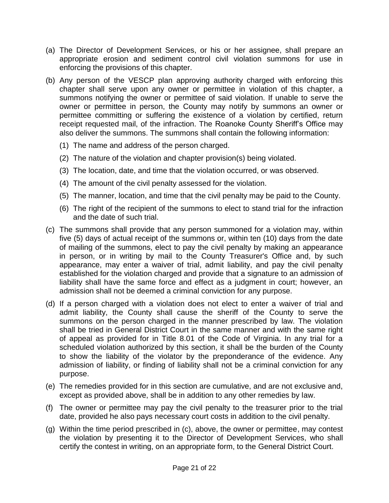- (a) The Director of Development Services, or his or her assignee, shall prepare an appropriate erosion and sediment control civil violation summons for use in enforcing the provisions of this chapter.
- (b) Any person of the VESCP plan approving authority charged with enforcing this chapter shall serve upon any owner or permittee in violation of this chapter, a summons notifying the owner or permittee of said violation. If unable to serve the owner or permittee in person, the County may notify by summons an owner or permittee committing or suffering the existence of a violation by certified, return receipt requested mail, of the infraction. The Roanoke County Sheriff's Office may also deliver the summons. The summons shall contain the following information:
	- (1) The name and address of the person charged.
	- (2) The nature of the violation and chapter provision(s) being violated.
	- (3) The location, date, and time that the violation occurred, or was observed.
	- (4) The amount of the civil penalty assessed for the violation.
	- (5) The manner, location, and time that the civil penalty may be paid to the County.
	- (6) The right of the recipient of the summons to elect to stand trial for the infraction and the date of such trial.
- (c) The summons shall provide that any person summoned for a violation may, within five (5) days of actual receipt of the summons or, within ten (10) days from the date of mailing of the summons, elect to pay the civil penalty by making an appearance in person, or in writing by mail to the County Treasurer's Office and, by such appearance, may enter a waiver of trial, admit liability, and pay the civil penalty established for the violation charged and provide that a signature to an admission of liability shall have the same force and effect as a judgment in court; however, an admission shall not be deemed a criminal conviction for any purpose.
- (d) If a person charged with a violation does not elect to enter a waiver of trial and admit liability, the County shall cause the sheriff of the County to serve the summons on the person charged in the manner prescribed by law. The violation shall be tried in General District Court in the same manner and with the same right of appeal as provided for in Title 8.01 of the Code of Virginia. In any trial for a scheduled violation authorized by this section, it shall be the burden of the County to show the liability of the violator by the preponderance of the evidence. Any admission of liability, or finding of liability shall not be a criminal conviction for any purpose.
- (e) The remedies provided for in this section are cumulative, and are not exclusive and, except as provided above, shall be in addition to any other remedies by law.
- (f) The owner or permittee may pay the civil penalty to the treasurer prior to the trial date, provided he also pays necessary court costs in addition to the civil penalty.
- (g) Within the time period prescribed in (c), above, the owner or permittee, may contest the violation by presenting it to the Director of Development Services, who shall certify the contest in writing, on an appropriate form, to the General District Court.